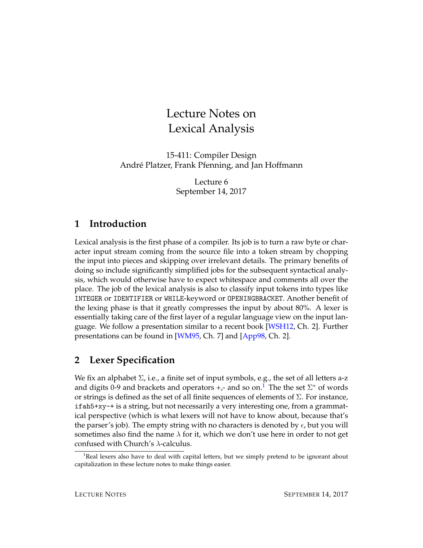# Lecture Notes on Lexical Analysis

<span id="page-0-1"></span>15-411: Compiler Design André Platzer, Frank Pfenning, and Jan Hoffmann

> Lecture 6 September 14, 2017

# **1 Introduction**

Lexical analysis is the first phase of a compiler. Its job is to turn a raw byte or character input stream coming from the source file into a token stream by chopping the input into pieces and skipping over irrelevant details. The primary benefits of doing so include significantly simplified jobs for the subsequent syntactical analysis, which would otherwise have to expect whitespace and comments all over the place. The job of the lexical analysis is also to classify input tokens into types like INTEGER or IDENTIFIER or WHILE-keyword or OPENINGBRACKET. Another benefit of the lexing phase is that it greatly compresses the input by about 80%. A lexer is essentially taking care of the first layer of a regular language view on the input language. We follow a presentation similar to a recent book [\[WSH12,](#page-12-0) Ch. 2]. Further presentations can be found in [\[WM95,](#page-12-1) Ch. 7] and [\[App98,](#page-12-2) Ch. 2].

# **2 Lexer Specification**

We fix an alphabet  $\Sigma$ , i.e., a finite set of input symbols, e.g., the set of all letters a-z and digits 0-9 and brackets and operators +,- and so on.<sup>[1](#page-0-0)</sup> The the set  $\Sigma^*$  of words or strings is defined as the set of all finite sequences of elements of  $\Sigma$ . For instance, ifah5+xy-+ is a string, but not necessarily a very interesting one, from a grammatical perspective (which is what lexers will not have to know about, because that's the parser's job). The empty string with no characters is denoted by  $\epsilon$ , but you will sometimes also find the name  $\lambda$  for it, which we don't use here in order to not get confused with Church's λ-calculus.

<span id="page-0-0"></span> $1<sup>1</sup>$ Real lexers also have to deal with capital letters, but we simply pretend to be ignorant about capitalization in these lecture notes to make things easier.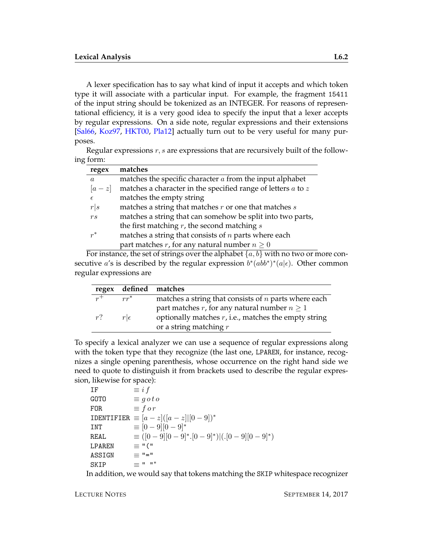A lexer specification has to say what kind of input it accepts and which token type it will associate with a particular input. For example, the fragment 15411 of the input string should be tokenized as an INTEGER. For reasons of representational efficiency, it is a very good idea to specify the input that a lexer accepts by regular expressions. On a side note, regular expressions and their extensions [\[Sal66,](#page-12-3) [Koz97,](#page-12-4) [HKT00,](#page-12-5) [Pla12\]](#page-12-6) actually turn out to be very useful for many purposes.

Regular expressions  $r, s$  are expressions that are recursively built of the following form:

| regex          | matches                                                          |
|----------------|------------------------------------------------------------------|
| $\mathfrak{a}$ | matches the specific character $a$ from the input alphabet       |
| $ a-z $        | matches a character in the specified range of letters $a$ to $z$ |
| $\epsilon$     | matches the empty string                                         |
| r s            | matches a string that matches $r$ or one that matches $s$        |
| rs             | matches a string that can somehow be split into two parts,       |
|                | the first matching $r$ , the second matching $s$                 |
| $r^*$          | matches a string that consists of $n$ parts where each           |
|                | part matches r, for any natural number $n \geq 0$                |

For instance, the set of strings over the alphabet  $\{a, b\}$  with no two or more consecutive a's is described by the regular expression  $b^*(abb^*)^*(a|\epsilon)$ . Other common regular expressions are

|       |                 | regex defined matches                                   |
|-------|-----------------|---------------------------------------------------------|
| $r^+$ | $rr^*$          | matches a string that consists of $n$ parts where each  |
|       |                 | part matches r, for any natural number $n \geq 1$       |
| $r$ ? | $r \varepsilon$ | optionally matches $r$ , i.e., matches the empty string |
|       |                 | or a string matching $r$                                |

To specify a lexical analyzer we can use a sequence of regular expressions along with the token type that they recognize (the last one, LPAREN, for instance, recognizes a single opening parenthesis, whose occurrence on the right hand side we need to quote to distinguish it from brackets used to describe the regular expression, likewise for space):

```
IF \equiv i fGOTO \equiv g \circ t \circFOR \equiv f \, \text{or}IDENTIFIER \equiv [a-z]([a-z] | [0-9])^*INT \equiv [0 - 9][0 - 9]^*REAL \equiv ([0-9][0-9]^*. [0-9]^*)|(. [0-9][0-9]^*)LPAREN \equiv "("ASSIGN \equiv "=""SKIP \equiv " "*
```
In addition, we would say that tokens matching the SKIP whitespace recognizer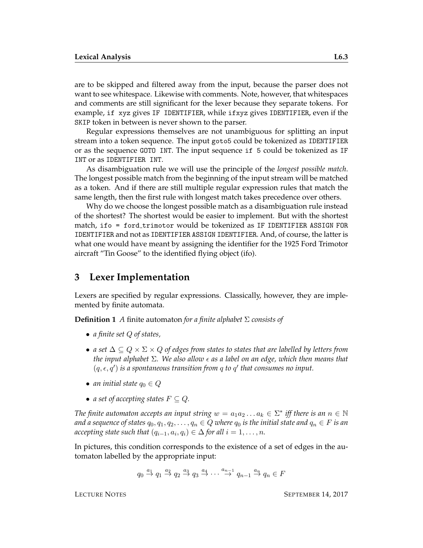are to be skipped and filtered away from the input, because the parser does not want to see whitespace. Likewise with comments. Note, however, that whitespaces and comments are still significant for the lexer because they separate tokens. For example, if xyz gives IF IDENTIFIER, while ifxyz gives IDENTIFIER, even if the SKIP token in between is never shown to the parser.

Regular expressions themselves are not unambiguous for splitting an input stream into a token sequence. The input goto5 could be tokenized as IDENTIFIER or as the sequence GOTO INT. The input sequence if 5 could be tokenized as IF INT or as IDENTIFIER INT.

As disambiguation rule we will use the principle of the *longest possible match*. The longest possible match from the beginning of the input stream will be matched as a token. And if there are still multiple regular expression rules that match the same length, then the first rule with longest match takes precedence over others.

Why do we choose the longest possible match as a disambiguation rule instead of the shortest? The shortest would be easier to implement. But with the shortest match, ifo = ford\_trimotor would be tokenized as IF IDENTIFIER ASSIGN FOR IDENTIFIER and not as IDENTIFIER ASSIGN IDENTIFIER. And, of course, the latter is what one would have meant by assigning the identifier for the 1925 Ford Trimotor aircraft "Tin Goose" to the identified flying object (ifo).

## **3 Lexer Implementation**

Lexers are specified by regular expressions. Classically, however, they are implemented by finite automata.

**Definition 1** *A* finite automaton *for a finite alphabet* Σ *consists of*

- *a finite set* Q *of states,*
- *a set* ∆ ⊆ Q × Σ × Q *of edges from states to states that are labelled by letters from the input alphabet* Σ*. We also allow as a label on an edge, which then means that*  $(q, \epsilon, q')$  is a spontaneous transition from q to  $q'$  that consumes no input.
- *an initial state*  $q_0 \in Q$
- *a set of accepting states*  $F \subseteq Q$ .

*The finite automaton accepts an input string*  $w = a_1 a_2 ... a_k \in \Sigma^*$  *iff there is an*  $n \in \mathbb{N}$ *and a sequence of states*  $q_0, q_1, q_2, \ldots, q_n \in Q$  *where*  $q_0$  *is the initial state and*  $q_n \in F$  *is an accepting state such that*  $(q_{i-1}, a_i, q_i) \in \Delta$  *for all*  $i = 1, \ldots, n$ *.* 

In pictures, this condition corresponds to the existence of a set of edges in the automaton labelled by the appropriate input:

 $q_0 \stackrel{a_1}{\rightarrow} q_1 \stackrel{a_2}{\rightarrow} q_2 \stackrel{a_3}{\rightarrow} q_3 \stackrel{a_4}{\rightarrow} \cdots \stackrel{a_{n-1}}{\rightarrow} q_{n-1} \stackrel{a_n}{\rightarrow} q_n \in F$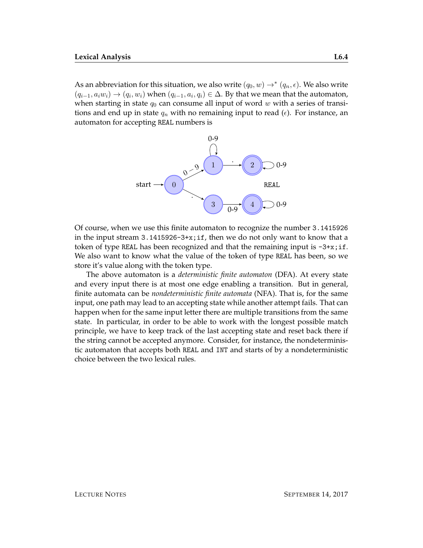As an abbreviation for this situation, we also write  $(q_0, w) \rightarrow^* (q_n, \epsilon)$ . We also write  $(q_{i-1}, a_i w_i) \rightarrow (q_i, w_i)$  when  $(q_{i-1}, a_i, q_i) \in \Delta$ . By that we mean that the automaton, when starting in state  $q_0$  can consume all input of word w with a series of transitions and end up in state  $q_n$  with no remaining input to read ( $\epsilon$ ). For instance, an automaton for accepting REAL numbers is



Of course, when we use this finite automaton to recognize the number 3.1415926 in the input stream  $3.1415926 - 3 + x$ ; if, then we do not only want to know that a token of type REAL has been recognized and that the remaining input is -3+x; if. We also want to know what the value of the token of type REAL has been, so we store it's value along with the token type.

The above automaton is a *deterministic finite automaton* (DFA). At every state and every input there is at most one edge enabling a transition. But in general, finite automata can be *nondeterministic finite automata* (NFA). That is, for the same input, one path may lead to an accepting state while another attempt fails. That can happen when for the same input letter there are multiple transitions from the same state. In particular, in order to be able to work with the longest possible match principle, we have to keep track of the last accepting state and reset back there if the string cannot be accepted anymore. Consider, for instance, the nondeterministic automaton that accepts both REAL and INT and starts of by a nondeterministic choice between the two lexical rules.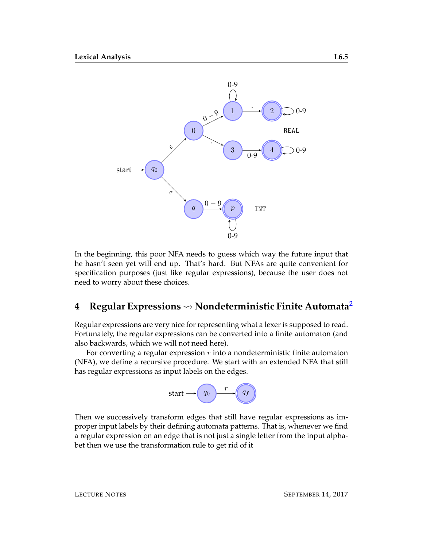

In the beginning, this poor NFA needs to guess which way the future input that he hasn't seen yet will end up. That's hard. But NFAs are quite convenient for specification purposes (just like regular expressions), because the user does not need to worry about these choices.

## <span id="page-4-0"></span>**4 Regular Expressions Nondeterministic Finite Automata**[2](#page-0-1)

Regular expressions are very nice for representing what a lexer is supposed to read. Fortunately, the regular expressions can be converted into a finite automaton (and also backwards, which we will not need here).

For converting a regular expression  $r$  into a nondeterministic finite automaton (NFA), we define a recursive procedure. We start with an extended NFA that still has regular expressions as input labels on the edges.



Then we successively transform edges that still have regular expressions as improper input labels by their defining automata patterns. That is, whenever we find a regular expression on an edge that is not just a single letter from the input alphabet then we use the transformation rule to get rid of it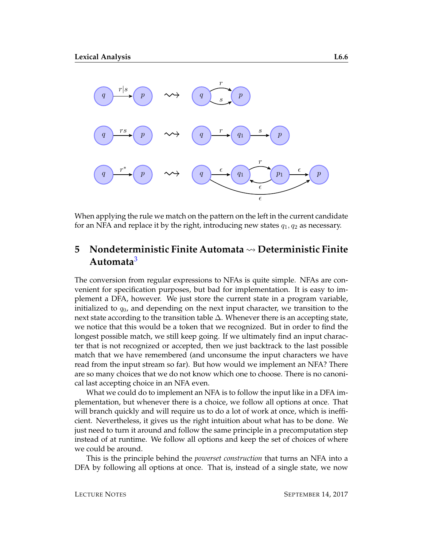

When applying the rule we match on the pattern on the left in the current candidate for an NFA and replace it by the right, introducing new states  $q_1, q_2$  as necessary.

# **5** Nondeterministic Finite Automata  $\rightsquigarrow$  Deterministic Finite **Automata**[3](#page-0-1)

The conversion from regular expressions to NFAs is quite simple. NFAs are convenient for specification purposes, but bad for implementation. It is easy to implement a DFA, however. We just store the current state in a program variable, initialized to  $q_0$ , and depending on the next input character, we transition to the next state according to the transition table  $\Delta$ . Whenever there is an accepting state, we notice that this would be a token that we recognized. But in order to find the longest possible match, we still keep going. If we ultimately find an input character that is not recognized or accepted, then we just backtrack to the last possible match that we have remembered (and unconsume the input characters we have read from the input stream so far). But how would we implement an NFA? There are so many choices that we do not know which one to choose. There is no canonical last accepting choice in an NFA even.

What we could do to implement an NFA is to follow the input like in a DFA implementation, but whenever there is a choice, we follow all options at once. That will branch quickly and will require us to do a lot of work at once, which is inefficient. Nevertheless, it gives us the right intuition about what has to be done. We just need to turn it around and follow the same principle in a precomputation step instead of at runtime. We follow all options and keep the set of choices of where we could be around.

This is the principle behind the *powerset construction* that turns an NFA into a DFA by following all options at once. That is, instead of a single state, we now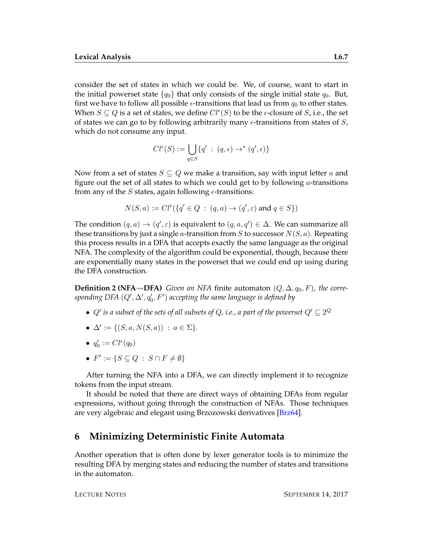consider the set of states in which we could be. We, of course, want to start in the initial powerset state  ${q_0}$  that only consists of the single initial state  $q_0$ . But, first we have to follow all possible  $\epsilon$ -transitions that lead us from  $q_0$  to other states. When  $S \subseteq Q$  is a set of states, we define  $Cl^{\epsilon}(S)$  to be the  $\epsilon$ -closure of  $S$ , i.e., the set of states we can go to by following arbitrarily many  $\epsilon$ -transitions from states of S, which do not consume any input.

$$
Cl^{\epsilon}(S) := \bigcup_{q \in S} \{q' \; : \; (q, \epsilon) \to^* (q', \epsilon) \}
$$

Now from a set of states  $S \subseteq Q$  we make a transition, say with input letter a and figure out the set of all states to which we could get to by following  $a$ -transitions from any of the S states, again following  $\epsilon$ -transitions:

$$
N(S, a) := Cl^{\epsilon}(\{q' \in Q \ : \ (q, a) \to (q', \varepsilon) \text{ and } q \in S\})
$$

The condition  $(q, a) \rightarrow (q', \varepsilon)$  is equivalent to  $(q, a, q') \in \Delta$ . We can summarize all these transitions by just a single a-transition from S to successor  $N(S, a)$ . Repeating this process results in a DFA that accepts exactly the same language as the original NFA. The complexity of the algorithm could be exponential, though, because there are exponentially many states in the powerset that we could end up using during the DFA construction.

**Definition 2 (NFA**  $\sim$  **<b>DFA**) *Given an NFA* finite automaton ( $Q$ ,  $\Delta$ ,  $q_0$ ,  $F$ ), the corresponding DFA  $(Q', \Delta', q_0', F')$  accepting the same language is defined by

- $\bullet \ \ Q'$  is a subset of the sets of all subsets of  $Q$ , i.e., a part of the powerset  $Q' \subseteq 2^Q$
- $\Delta' := \{ (S, a, N(S, a)) : a \in \Sigma \}.$
- $q'_0 := Cl^{\epsilon}(q_0)$
- $F' := \{ S \subseteq Q : S \cap F \neq \emptyset \}$

After turning the NFA into a DFA, we can directly implement it to recognize tokens from the input stream.

It should be noted that there are direct ways of obtaining DFAs from regular expressions, without going through the construction of NFAs. Those techniques are very algebraic and elegant using Brzozowski derivatives [\[Brz64\]](#page-12-7).

#### **6 Minimizing Deterministic Finite Automata**

Another operation that is often done by lexer generator tools is to minimize the resulting DFA by merging states and reducing the number of states and transitions in the automaton.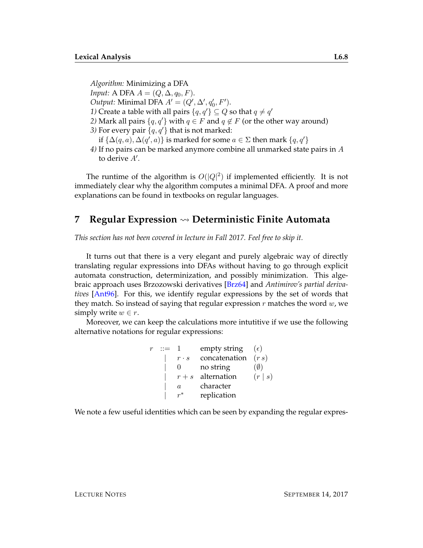*Algorithm:* Minimizing a DFA *Input:* A DFA  $A = (Q, \Delta, q_0, F)$ . *Output:* Minimal DFA  $A' = (Q', \Delta', q'_0, F')$ . *1)* Create a table with all pairs  $\{q, q'\} \subseteq Q$  so that  $q \neq q'$ *2)* Mark all pairs  $\{q, q'\}$  with  $q \in F$  and  $q \notin F$  (or the other way around) *3)* For every pair  $\{q, q'\}$  that is not marked: if  $\{\Delta(q, a), \Delta(q', a)\}\$ is marked for some  $a \in \Sigma$  then mark  $\{q, q'\}$ 

*4)* If no pairs can be marked anymore combine all unmarked state pairs in A to derive  $A'$ .

The runtime of the algorithm is  $O(|Q|^2)$  if implemented efficiently. It is not immediately clear why the algorithm computes a minimal DFA. A proof and more explanations can be found in textbooks on regular languages.

# **7 Regular Expression Deterministic Finite Automata**

*This section has not been covered in lecture in Fall 2017. Feel free to skip it.*

It turns out that there is a very elegant and purely algebraic way of directly translating regular expressions into DFAs without having to go through explicit automata construction, determinization, and possibly minimization. This algebraic approach uses Brzozowski derivatives [\[Brz64\]](#page-12-7) and *Antimirov's partial derivatives* [\[Ant96\]](#page-12-8). For this, we identify regular expressions by the set of words that they match. So instead of saying that regular expression  $r$  matches the word  $w$ , we simply write  $w \in r$ .

Moreover, we can keep the calculations more intutitive if we use the following alternative notations for regular expressions:

|  |                | empty string        | $(\epsilon)$ |
|--|----------------|---------------------|--------------|
|  | $r \cdot s$    | concatenation       | (r s)        |
|  | 0              | no string           | V)           |
|  |                | $r + s$ alternation | (r   s)      |
|  | $\overline{a}$ | character           |              |
|  | $r^*$          | replication         |              |

We note a few useful identities which can be seen by expanding the regular expres-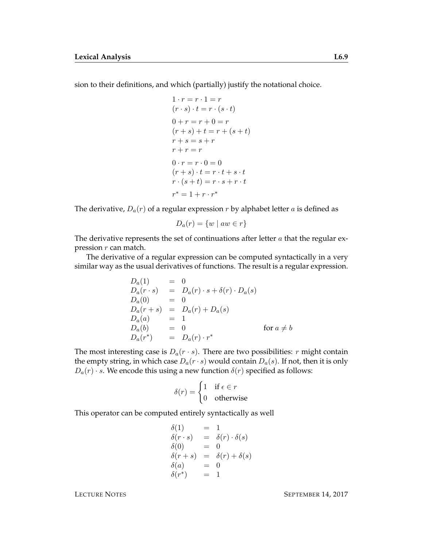sion to their definitions, and which (partially) justify the notational choice.

$$
1 \cdot r = r \cdot 1 = r
$$
  
\n
$$
(r \cdot s) \cdot t = r \cdot (s \cdot t)
$$
  
\n
$$
0 + r = r + 0 = r
$$
  
\n
$$
(r + s) + t = r + (s + t)
$$
  
\n
$$
r + s = s + r
$$
  
\n
$$
r + r = r
$$
  
\n
$$
0 \cdot r = r \cdot 0 = 0
$$
  
\n
$$
(r + s) \cdot t = r \cdot t + s \cdot t
$$
  
\n
$$
r \cdot (s + t) = r \cdot s + r \cdot t
$$
  
\n
$$
r^* = 1 + r \cdot r^*
$$

The derivative,  $D_a(r)$  of a regular expression r by alphabet letter a is defined as

$$
D_a(r) = \{w \mid aw \in r\}
$$

The derivative represents the set of continuations after letter  $a$  that the regular expression r can match.

The derivative of a regular expression can be computed syntactically in a very similar way as the usual derivatives of functions. The result is a regular expression.

$$
D_a(1) = 0\nD_a(r \cdot s) = D_a(r) \cdot s + \delta(r) \cdot D_a(s)\nD_a(0) = 0\nD_a(r+s) = D_a(r) + D_a(s)\nD_a(a) = 1\nD_a(b) = 0\nD_a(r^*) = D_a(r) \cdot r^*
$$

The most interesting case is  $D_a(r \cdot s)$ . There are two possibilities: r might contain the empty string, in which case  $D_a(r \cdot s)$  would contain  $D_a(s)$ . If not, then it is only  $D_a(r) \cdot s$ . We encode this using a new function  $\delta(r)$  specified as follows:

$$
\delta(r) = \begin{cases} 1 & \text{if } \epsilon \in r \\ 0 & \text{otherwise} \end{cases}
$$

This operator can be computed entirely syntactically as well

$$
\begin{array}{rcl} \delta(1) & = & 1 \\ \delta(r \cdot s) & = & \delta(r) \cdot \delta(s) \\ \delta(0) & = & 0 \\ \delta(r+s) & = & \delta(r) + \delta(s) \\ \delta(a) & = & 0 \\ \delta(r^*) & = & 1 \end{array}
$$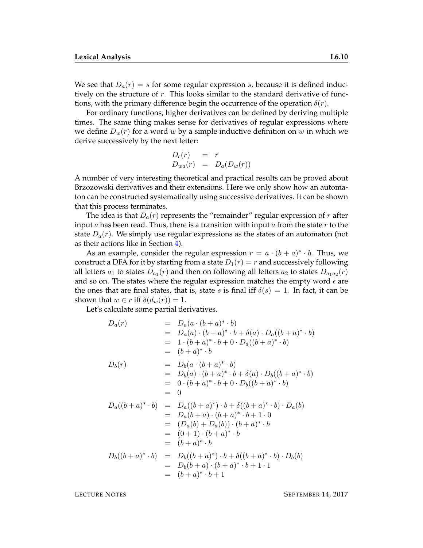We see that  $D_a(r) = s$  for some regular expression s, because it is defined inductively on the structure of  $r$ . This looks similar to the standard derivative of functions, with the primary difference begin the occurrence of the operation  $\delta(r)$ .

For ordinary functions, higher derivatives can be defined by deriving multiple times. The same thing makes sense for derivatives of regular expressions where we define  $D_w(r)$  for a word w by a simple inductive definition on w in which we derive successively by the next letter:

$$
D_{\epsilon}(r) = r
$$
  
\n
$$
D_{wa}(r) = D_a(D_w(r))
$$

A number of very interesting theoretical and practical results can be proved about Brzozowski derivatives and their extensions. Here we only show how an automaton can be constructed systematically using successive derivatives. It can be shown that this process terminates.

The idea is that  $D_a(r)$  represents the "remainder" regular expression of r after input a has been read. Thus, there is a transition with input  $\alpha$  from the state  $r$  to the state  $D_a(r)$ . We simply use regular expressions as the states of an automaton (not as their actions like in Section [4\)](#page-4-0).

As an example, consider the regular expression  $r = a \cdot (b + a)^* \cdot b$ . Thus, we construct a DFA for it by starting from a state  $D_1(r) = r$  and successively following all letters  $a_1$  to states  $D_{a_1}(r)$  and then on following all letters  $a_2$  to states  $D_{a_1a_2}(r)$ and so on. The states where the regular expression matches the empty word  $\epsilon$  are the ones that are final states, that is, state s is final iff  $\delta(s) = 1$ . In fact, it can be shown that  $w \in r$  iff  $\delta(d_w(r)) = 1$ .

Let's calculate some partial derivatives.

$$
D_a(r) = D_a(a \cdot (b + a)^* \cdot b)
$$
  
\n
$$
= D_a(a) \cdot (b + a)^* \cdot b + \delta(a) \cdot D_a((b + a)^* \cdot b)
$$
  
\n
$$
= 1 \cdot (b + a)^* \cdot b + 0 \cdot D_a((b + a)^* \cdot b)
$$
  
\n
$$
= (b + a)^* \cdot b
$$
  
\n
$$
D_b(r) = D_b(a \cdot (b + a)^* \cdot b)
$$
  
\n
$$
= D_b(a) \cdot (b + a)^* \cdot b + \delta(a) \cdot D_b((b + a)^* \cdot b)
$$
  
\n
$$
= 0 \cdot (b + a)^* \cdot b + 0 \cdot D_b((b + a)^* \cdot b)
$$
  
\n
$$
= 0
$$
  
\n
$$
D_a((b + a)^* \cdot b) = D_a((b + a)^*) \cdot b + \delta((b + a)^* \cdot b) \cdot D_a(b)
$$
  
\n
$$
= D_a(b + a) \cdot (b + a)^* \cdot b + 1 \cdot 0
$$
  
\n
$$
= (D_a(b) + D_a(b)) \cdot (b + a)^* \cdot b
$$
  
\n
$$
= (0 + 1) \cdot (b + a)^* \cdot b
$$
  
\n
$$
= (b + a)^* \cdot b
$$
  
\n
$$
D_b((b + a)^* \cdot b) = D_b((b + a)^*) \cdot b + \delta((b + a)^* \cdot b) \cdot D_b(b)
$$
  
\n
$$
= D_b(b + a) \cdot (b + a)^* \cdot b + 1 \cdot 1
$$
  
\n
$$
= (b + a)^* \cdot b + 1
$$

LECTURE NOTES SEPTEMBER 14, 2017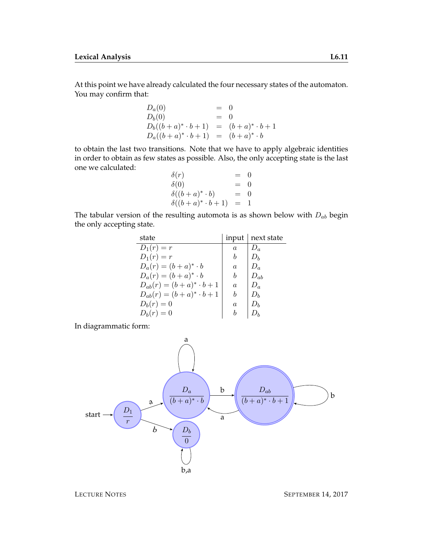At this point we have already calculated the four necessary states of the automaton. You may confirm that:

$$
D_a(0) = 0\nD_b(0) = 0\nD_b((b+a)^* \cdot b + 1) = (b+a)^* \cdot b + 1\nD_a((b+a)^* \cdot b + 1) = (b+a)^* \cdot b
$$

to obtain the last two transitions. Note that we have to apply algebraic identities in order to obtain as few states as possible. Also, the only accepting state is the last one we calculated:

$$
\begin{array}{rcl}\n\delta(r) & = & 0 \\
\delta(0) & = & 0 \\
\delta((b+a)^* \cdot b) & = & 0 \\
\delta((b+a)^* \cdot b + 1) & = & 1\n\end{array}
$$

The tabular version of the resulting automota is as shown below with  $D_{ab}$  begin the only accepting state.

| state                               |                | $input$   next state |
|-------------------------------------|----------------|----------------------|
| $D_1(r)=r$                          | $\overline{a}$ | $D_a$                |
| $D_1(r)=r$                          | b              | $D_{h}$              |
| $D_a(r) = (b+a)^* \cdot b$          | $\overline{a}$ | $D_a$                |
| $D_a(r) = (b+a)^* \cdot b$          | h              | $D_{ab}$             |
| $D_{ab}(r) = (b+a)^{*} \cdot b + 1$ | $\overline{a}$ | $D_a$                |
| $D_{ab}(r) = (b+a)^{*} \cdot b + 1$ |                |                      |
| $D_b(r)=0$                          | $\overline{a}$ |                      |
| $D_h(r)=0$                          | h              |                      |

In diagrammatic form:



LECTURE NOTES SEPTEMBER 14, 2017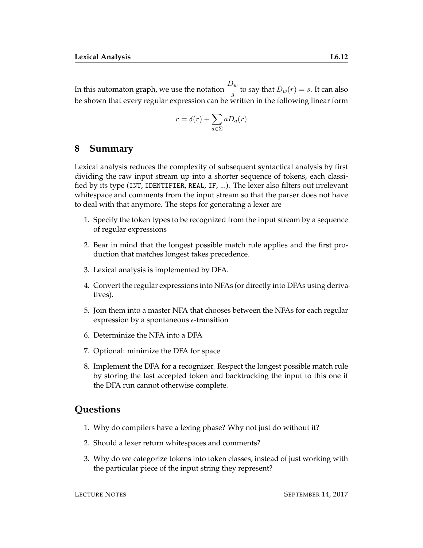In this automaton graph, we use the notation  $D_w$  $\frac{w}{s}$  to say that  $D_w(r) = s$ . It can also be shown that every regular expression can be written in the following linear form

$$
r = \delta(r) + \sum_{a \in \Sigma} a D_a(r)
$$

#### **8 Summary**

Lexical analysis reduces the complexity of subsequent syntactical analysis by first dividing the raw input stream up into a shorter sequence of tokens, each classified by its type (INT, IDENTIFIER, REAL, IF, ...). The lexer also filters out irrelevant whitespace and comments from the input stream so that the parser does not have to deal with that anymore. The steps for generating a lexer are

- 1. Specify the token types to be recognized from the input stream by a sequence of regular expressions
- 2. Bear in mind that the longest possible match rule applies and the first production that matches longest takes precedence.
- 3. Lexical analysis is implemented by DFA.
- 4. Convert the regular expressions into NFAs (or directly into DFAs using derivatives).
- 5. Join them into a master NFA that chooses between the NFAs for each regular expression by a spontaneous  $\epsilon$ -transition
- 6. Determinize the NFA into a DFA
- 7. Optional: minimize the DFA for space
- 8. Implement the DFA for a recognizer. Respect the longest possible match rule by storing the last accepted token and backtracking the input to this one if the DFA run cannot otherwise complete.

#### **Questions**

- 1. Why do compilers have a lexing phase? Why not just do without it?
- 2. Should a lexer return whitespaces and comments?
- 3. Why do we categorize tokens into token classes, instead of just working with the particular piece of the input string they represent?